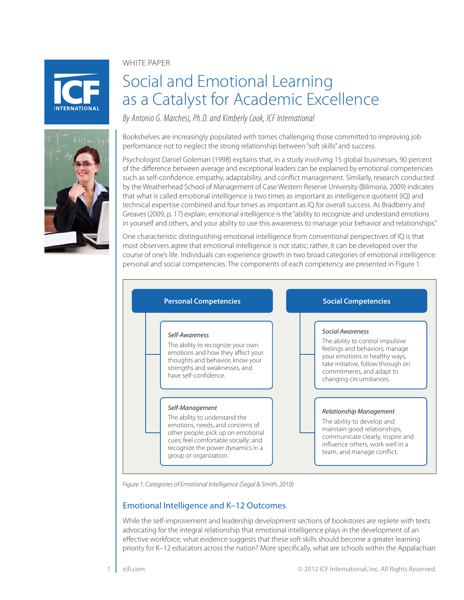WHITE PAPER

# Social and Emotional Learning as a Catalyst for Academic Excellence

*By Antonio G. Marchesi, Ph.D. and Kimberly Cook, ICF International*

Bookshelves are increasingly populated with tomes challenging those committed to improving job performance not to neglect the strong relationship between "soft skills" and success.

Psychologist Daniel Goleman (1998) explains that, in a study involving 15 global businesses, 90 percent of the difference between average and exceptional leaders can be explained by emotional competencies such as self-confidence, empathy, adaptability, and conflict management. Similarly, research conducted by the Weatherhead School of Management of Case Western Reserve University (Bilimoria, 2009) indicates that what is called emotional intelligence is two times as important as intelligence quotient (IQ) and technical expertise combined and four times as important as IQ for overall success. As Bradberry and Greaves (2009, p. 17) explain, emotional intelligence is the "ability to recognize and understand emotions in yourself and others, and your ability to use this awareness to manage your behavior and relationships."

One characteristic distinguishing emotional intelligence from conventional perspectives of IQ is that most observers agree that emotional intelligence is not static; rather, it can be developed over the course of one's life. Individuals can experience growth in two broad categories of emotional intelligence: personal and social competencies. The components of each competency are presented in Figure 1.



*Figure 1: Categories of Emotional Intelligence (Segal & Smith, 2010)*

# Emotional Intelligence and K–12 Outcomes

While the self-improvement and leadership development sections of bookstores are replete with texts advocating for the integral relationship that emotional intelligence plays in the development of an effective workforce, what evidence suggests that these soft skills should become a greater learning priority for K–12 educators across the nation? More specifically, what are schools within the Appalachian



**NTFRNATIONAL** 

1 [icfi.com](http://www.icfi.com) **Exercise 2012 ICF International, Inc. All Rights Reserved.**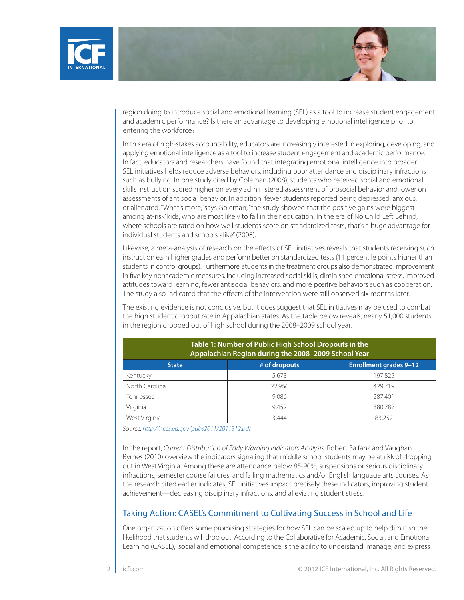

region doing to introduce social and emotional learning (SEL) as a tool to increase student engagement and academic performance? Is there an advantage to developing emotional intelligence prior to entering the workforce?

In this era of high-stakes accountability, educators are increasingly interested in exploring, developing, and applying emotional intelligence as a tool to increase student engagement and academic performance. In fact, educators and researchers have found that integrating emotional intelligence into broader SEL initiatives helps reduce adverse behaviors, including poor attendance and disciplinary infractions such as bullying. In one study cited by Goleman (2008), students who received social and emotional skills instruction scored higher on every administered assessment of prosocial behavior and lower on assessments of antisocial behavior. In addition, fewer students reported being depressed, anxious, or alienated. "What's more," says Goleman, "the study showed that the positive gains were biggest among 'at-risk' kids, who are most likely to fail in their education. In the era of No Child Left Behind, where schools are rated on how well students score on standardized tests, that's a huge advantage for individual students and schools alike" (2008).

Likewise, a meta-analysis of research on the effects of SEL initiatives reveals that students receiving such instruction earn higher grades and perform better on standardized tests (11 percentile points higher than students in control groups). Furthermore, students in the treatment groups also demonstrated improvement in five key nonacademic measures, including increased social skills, diminished emotional stress, improved attitudes toward learning, fewer antisocial behaviors, and more positive behaviors such as cooperation. The study also indicated that the effects of the intervention were still observed six months later.

The existing evidence is not conclusive, but it does suggest that SEL initiatives may be used to combat the high student dropout rate in Appalachian states. As the table below reveals, nearly 51,000 students in the region dropped out of high school during the 2008–2009 school year.

| Table 1: Number of Public High School Dropouts in the<br>Appalachian Region during the 2008-2009 School Year |               |                               |
|--------------------------------------------------------------------------------------------------------------|---------------|-------------------------------|
| <b>State</b>                                                                                                 | # of dropouts | <b>Enrollment grades 9-12</b> |
| Kentucky                                                                                                     | 5.673         | 197,825                       |
| North Carolina                                                                                               | 22.966        | 429.719                       |
| Tennessee                                                                                                    | 9.086         | 287.401                       |
| Virginia                                                                                                     | 9,452         | 380,787                       |
| West Virginia                                                                                                | 3.444         | 83.252                        |

*Source:<http://nces.ed.gov/pubs2011/2011312.pdf>*

In the report, *Current Distribution of Early Warning Indicators Analysis,* Robert Balfanz and Vaughan Byrnes (2010) overview the indicators signaling that middle school students may be at risk of dropping out in West Virginia. Among these are attendance below 85-90%, suspensions or serious disciplinary infractions, semester course failures, and failing mathematics and/or English language arts courses. As the research cited earlier indicates, SEL initiatives impact precisely these indicators, improving student achievement—decreasing disciplinary infractions, and alleviating student stress.

# Taking Action: CASEL's Commitment to Cultivating Success in School and Life

One organization offers some promising strategies for how SEL can be scaled up to help diminish the likelihood that students will drop out. According to the Collaborative for Academic, Social, and Emotional Learning (CASEL), "social and emotional competence is the ability to understand, manage, and express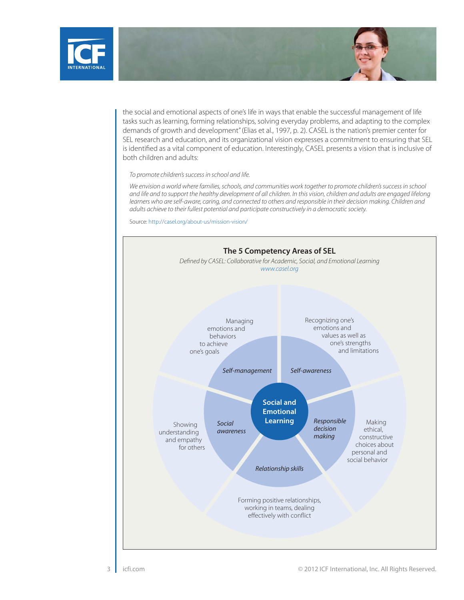

the social and emotional aspects of one's life in ways that enable the successful management of life tasks such as learning, forming relationships, solving everyday problems, and adapting to the complex demands of growth and development" (Elias et al., 1997, p. 2). CASEL is the nation's premier center for SEL research and education, and its organizational vision expresses a commitment to ensuring that SEL is identified as a vital component of education. Interestingly, CASEL presents a vision that is inclusive of both children and adults:

*To promote children's success in school and life.*

We envision a world where families, schools, and communities work together to promote children's success in school *and life and to support the healthy development of all children. In this vision, children and adults are engaged lifelong*  learners who are self-aware, caring, and connected to others and responsible in their decision making. Children and *adults achieve to their fullest potential and participate constructively in a democratic society.*

Source:<http://casel.org/about-us/mission>-vision/

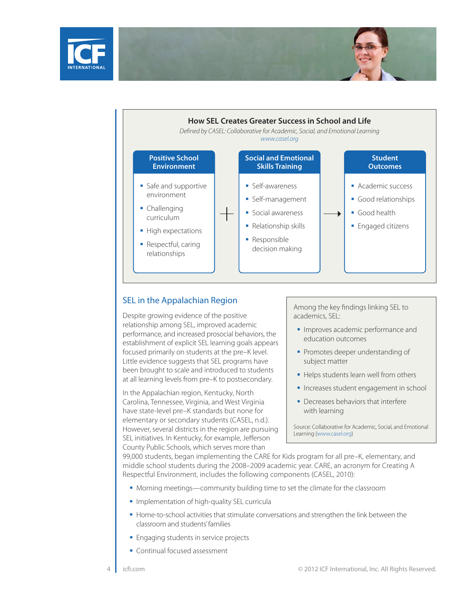



## SEL in the Appalachian Region

Despite growing evidence of the positive relationship among SEL, improved academic performance, and increased prosocial behaviors, the establishment of explicit SEL learning goals appears focused primarily on students at the pre–K level. Little evidence suggests that SEL programs have been brought to scale and introduced to students at all learning levels from pre–K to postsecondary.

In the Appalachian region, Kentucky, North Carolina, Tennessee, Virginia, and West Virginia have state-level pre–K standards but none for elementary or secondary students (CASEL, n.d.). However, several districts in the region are pursuing SEL initiatives. In Kentucky, for example, Jefferson County Public Schools, which serves more than

Among the key findings linking SEL to academics, SEL:

- **Improves academic performance and** education outcomes
- Promotes deeper understanding of subject matter
- Helps students learn well from others
- **Increases student engagement in school**
- Decreases behaviors that interfere with learning

Source: Collaborative for Academic, Social, and Emotional Learning (<www.casel.org>)

99,000 students, began implementing the CARE for Kids program for all pre–K, elementary, and middle school students during the 2008–2009 academic year. CARE, an acronym for Creating A Respectful Environment, includes the following components (CASEL, 2010):

- Morning meetings—community building time to set the climate for the classroom
- **Implementation of high-quality SEL curricula**
- **Home-to-school activities that stimulate conversations and strengthen the link between the** classroom and students' families
- **Engaging students in service projects**
- Continual focused assessment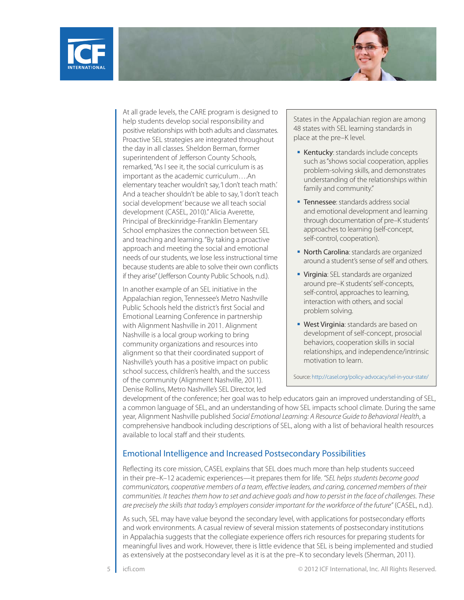

At all grade levels, the CARE program is designed to help students develop social responsibility and positive relationships with both adults and classmates. Proactive SEL strategies are integrated throughout the day in all classes. Sheldon Berman, former superintendent of Jefferson County Schools, remarked, "As I see it, the social curriculum is as important as the academic curriculum….An elementary teacher wouldn't say, 'I don't teach math.' And a teacher shouldn't be able to say, 'I don't teach social development' because we all teach social development (CASEL, 2010)." Alicia Averette, Principal of Breckinridge-Franklin Elementary School emphasizes the connection between SEL and teaching and learning. "By taking a proactive approach and meeting the social and emotional needs of our students, we lose less instructional time because students are able to solve their own conflicts if they arise" (Jefferson County Public Schools, n.d.).

In another example of an SEL initiative in the Appalachian region, Tennessee's Metro Nashville Public Schools held the district's first Social and Emotional Learning Conference in partnership with Alignment Nashville in 2011. Alignment Nashville is a local group working to bring community organizations and resources into alignment so that their coordinated support of Nashville's youth has a positive impact on public school success, children's health, and the success of the community (Alignment Nashville, 2011). Denise Rollins, Metro Nashville's SEL Director, led

States in the Appalachian region are among 48 states with SEL learning standards in place at the pre–K level.

- **Kentucky:** standards include concepts such as "shows social cooperation, applies problem-solving skills, and demonstrates understanding of the relationships within family and community."
- **Tennessee:** standards address social and emotional development and learning through documentation of pre–K students' approaches to learning (self-concept, self-control, cooperation).
- North Carolina: standards are organized around a student's sense of self and others.
- **Virginia: SEL standards are organized** around pre–K students' self-concepts, self-control, approaches to learning, interaction with others, and social problem solving.
- **West Virginia:** standards are based on development of self-concept, prosocial behaviors, cooperation skills in social relationships, and independence/intrinsic motivation to learn.

Source: <http://casel.org/policy-advocacy/sel>-in-your-state/

development of the conference; her goal was to help educators gain an improved understanding of SEL, a common language of SEL, and an understanding of how SEL impacts school climate. During the same year, Alignment Nashville published *Social Emotional Learning: A Resource Guide to Behavioral Health*, a comprehensive handbook including descriptions of SEL, along with a list of behavioral health resources available to local staff and their students.

# Emotional Intelligence and Increased Postsecondary Possibilities

Reflecting its core mission, CASEL explains that SEL does much more than help students succeed in their pre–K–12 academic experiences—it prepares them for life. *"SEL helps students become good communicators, cooperative members of a team, effective leaders, and caring, concerned members of their communities. It teaches them how to set and achieve goals and how to persist in the face of challenges. These are precisely the skills that today's employers consider important for the workforce of the future"* (CASEL, n.d.).

As such, SEL may have value beyond the secondary level, with applications for postsecondary efforts and work environments. A casual review of several mission statements of postsecondary institutions in Appalachia suggests that the collegiate experience offers rich resources for preparing students for meaningful lives and work. However, there is little evidence that SEL is being implemented and studied as extensively at the postsecondary level as it is at the pre–K to secondary levels (Sherman, 2011).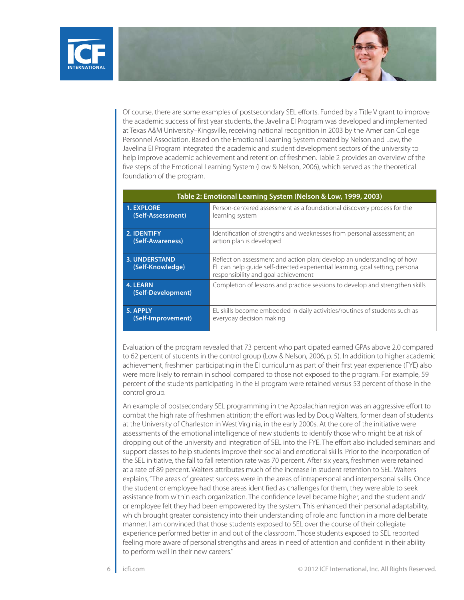

Of course, there are some examples of postsecondary SEL efforts. Funded by a Title V grant to improve the academic success of first year students, the Javelina EI Program was developed and implemented at Texas A&M University–Kingsville, receiving national recognition in 2003 by the American College Personnel Association. Based on the Emotional Learning System created by Nelson and Low, the Javelina EI Program integrated the academic and student development sectors of the university to help improve academic achievement and retention of freshmen. Table 2 provides an overview of the five steps of the Emotional Learning System (Low & Nelson, 2006), which served as the theoretical foundation of the program.

| Table 2: Emotional Learning System (Nelson & Low, 1999, 2003) |                                                                                                                                                                                                |  |
|---------------------------------------------------------------|------------------------------------------------------------------------------------------------------------------------------------------------------------------------------------------------|--|
| <b>1. EXPLORE</b>                                             | Person-centered assessment as a foundational discovery process for the                                                                                                                         |  |
| (Self-Assessment)                                             | learning system                                                                                                                                                                                |  |
| 2. IDENTIFY                                                   | Identification of strengths and weaknesses from personal assessment; an                                                                                                                        |  |
| (Self-Awareness)                                              | action plan is developed                                                                                                                                                                       |  |
| <b>3. UNDERSTAND</b><br>(Self-Knowledge)                      | Reflect on assessment and action plan; develop an understanding of how<br>EL can help quide self-directed experiential learning, goal setting, personal<br>responsibility and goal achievement |  |
| 4. LEARN<br>(Self-Development)                                | Completion of lessons and practice sessions to develop and strengthen skills                                                                                                                   |  |
| 5. APPLY                                                      | EL skills become embedded in daily activities/routines of students such as                                                                                                                     |  |
| (Self-Improvement)                                            | everyday decision making                                                                                                                                                                       |  |

Evaluation of the program revealed that 73 percent who participated earned GPAs above 2.0 compared to 62 percent of students in the control group (Low & Nelson, 2006, p. 5). In addition to higher academic achievement, freshmen participating in the EI curriculum as part of their first year experience (FYE) also were more likely to remain in school compared to those not exposed to the program. For example, 59 percent of the students participating in the EI program were retained versus 53 percent of those in the control group.

An example of postsecondary SEL programming in the Appalachian region was an aggressive effort to combat the high rate of freshmen attrition; the effort was led by Doug Walters, former dean of students at the University of Charleston in West Virginia, in the early 2000s. At the core of the initiative were assessments of the emotional intelligence of new students to identify those who might be at risk of dropping out of the university and integration of SEL into the FYE. The effort also included seminars and support classes to help students improve their social and emotional skills. Prior to the incorporation of the SEL initiative, the fall to fall retention rate was 70 percent. After six years, freshmen were retained at a rate of 89 percent. Walters attributes much of the increase in student retention to SEL. Walters explains, "The areas of greatest success were in the areas of intrapersonal and interpersonal skills. Once the student or employee had those areas identified as challenges for them, they were able to seek assistance from within each organization. The confidence level became higher, and the student and/ or employee felt they had been empowered by the system. This enhanced their personal adaptability, which brought greater consistency into their understanding of role and function in a more deliberate manner. I am convinced that those students exposed to SEL over the course of their collegiate experience performed better in and out of the classroom. Those students exposed to SEL reported feeling more aware of personal strengths and areas in need of attention and confident in their ability to perform well in their new careers."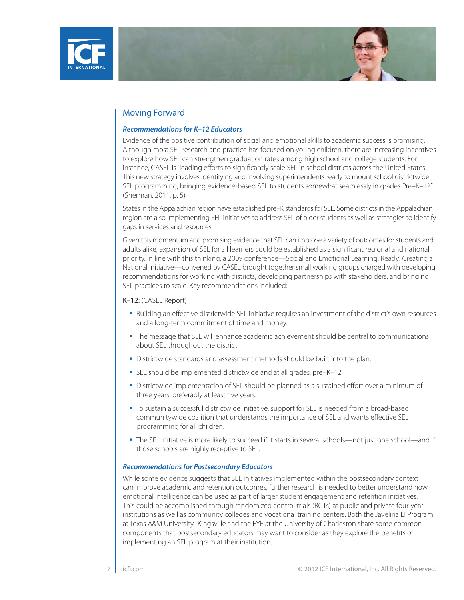



# Moving Forward

### *Recommendations for K–12 Educators*

Evidence of the positive contribution of social and emotional skills to academic success is promising. Although most SEL research and practice has focused on young children, there are increasing incentives to explore how SEL can strengthen graduation rates among high school and college students. For instance, CASEL is "leading efforts to significantly scale SEL in school districts across the United States. This new strategy involves identifying and involving superintendents ready to mount school districtwide SEL programming, bringing evidence-based SEL to students somewhat seamlessly in grades Pre–K–12" (Sherman, 2011, p. 5).

States in the Appalachian region have established pre–K standards for SEL. Some districts in the Appalachian region are also implementing SEL initiatives to address SEL of older students as well as strategies to identify gaps in services and resources.

Given this momentum and promising evidence that SEL can improve a variety of outcomes for students and adults alike, expansion of SEL for all learners could be established as a significant regional and national priority. In line with this thinking, a 2009 conference—Social and Emotional Learning: Ready! Creating a National Initiative—convened by CASEL brought together small working groups charged with developing recommendations for working with districts, developing partnerships with stakeholders, and bringing SEL practices to scale. Key recommendations included:

#### K–12: (CASEL Report)

- Building an effective districtwide SEL initiative requires an investment of the district's own resources and a long-term commitment of time and money.
- The message that SEL will enhance academic achievement should be central to communications about SEL throughout the district.
- Districtwide standards and assessment methods should be built into the plan.
- SEL should be implemented districtwide and at all grades, pre–K–12.
- Districtwide implementation of SEL should be planned as a sustained effort over a minimum of three years, preferably at least five years.
- To sustain a successful districtwide initiative, support for SEL is needed from a broad-based communitywide coalition that understands the importance of SEL and wants effective SEL programming for all children.
- The SEL initiative is more likely to succeed if it starts in several schools—not just one school—and if those schools are highly receptive to SEL.

#### *Recommendations for Postsecondary Educators*

While some evidence suggests that SEL initiatives implemented within the postsecondary context can improve academic and retention outcomes, further research is needed to better understand how emotional intelligence can be used as part of larger student engagement and retention initiatives. This could be accomplished through randomized control trials (RCTs) at public and private four-year institutions as well as community colleges and vocational training centers. Both the Javelina EI Program at Texas A&M University–Kingsville and the FYE at the University of Charleston share some common components that postsecondary educators may want to consider as they explore the benefits of implementing an SEL program at their institution.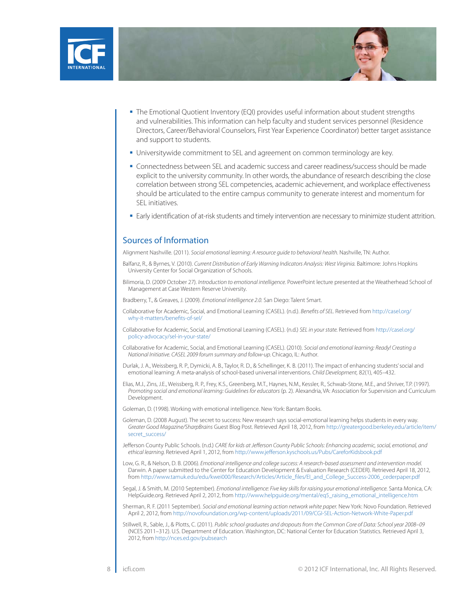

- The Emotional Quotient Inventory (EQI) provides useful information about student strengths and vulnerabilities. This information can help faculty and student services personnel (Residence Directors, Career/Behavioral Counselors, First Year Experience Coordinator) better target assistance and support to students.
- Universitywide commitment to SEL and agreement on common terminology are key.
- Connectedness between SEL and academic success and career readiness/success should be made explicit to the university community. In other words, the abundance of research describing the close correlation between strong SEL competencies, academic achievement, and workplace effectiveness should be articulated to the entire campus community to generate interest and momentum for SEL initiatives.
- Early identification of at-risk students and timely intervention are necessary to minimize student attrition.

#### Sources of Information

Alignment Nashville. (2011). *Social emotional learning: A resource guide to behavioral health.* Nashville, TN: Author.

Balfanz, R., & Byrnes, V. (2010). *Current Distribution of Early Warning Indicators Analysis: West Virginia.* Baltimore: Johns Hopkins University Center for Social Organization of Schools.

Bilimoria, D. (2009 October 27). *Introduction to emotional intelligence.* PowerPoint lecture presented at the Weatherhead School of Management at Case Western Reserve University.

Bradberry, T., & Greaves, J. (2009). *Emotional intelligence 2.0.* San Diego: Talent Smart.

- Collaborative for Academic, Social, and Emotional Learning (CASEL). (n.d.). *Benefits of SEL.* Retrieved from [http://casel.org/](http://casel.org/why-it-matters/benefits) [why-it-matters/benefits](http://casel.org/why-it-matters/benefits)-of-sel/
- Collaborative for Academic, Social, and Emotional Learning (CASEL). (n.d.) *SEL in your state.* Retrieved from [http://casel.org/](http://casel.org/policy-advocacy/sel) [policy-advocacy/sel](http://casel.org/policy-advocacy/sel)-in-your-state/
- Collaborative for Academic, Social, and Emotional Learning (CASEL). (2010). *Social and emotional learning: Ready! Creating a National Initiative. CASEL 2009 forum summary and follow-up.* Chicago, IL: Author.
- Durlak, J. A., Weissberg, R. P., Dymicki, A. B., Taylor, R. D., & Schellinger, K. B. (2011). The impact of enhancing students' social and emotional learning: A meta-analysis of school-based universal interventions. *Child Development,* 82(1), 405–432.
- Elias, M.J., Zins, J.E., Weissberg, R. P., Frey, K.S., Greenberg, M.T., Haynes, N.M., Kessler, R., Schwab-Stone, M.E., and Shriver, T.P. (1997). *Promoting social and emotional learning: Guidelines for educators* (p. 2). Alexandria, VA: Association for Supervision and Curriculum Development.
- Goleman, D. (1998). Working with emotional intelligence. New York: Bantam Books.
- Goleman, D. (2008 August). The secret to success: New research says social-emotional learning helps students in every way. *Greater Good Magazine/SharpBrains* Guest Blog Post. Retrieved April 18, 2012, from [http://greatergood.berkeley.edu/article/item/](http://greatergood.berkeley.edu/article/item/secret_success) [secret\\_success](http://greatergood.berkeley.edu/article/item/secret_success)/
- Jefferson County Public Schools. (n.d.) *CARE for kids at Jefferson County Public Schools: Enhancing academic, social, emotional, and ethical learning.* Retrieved April 1, 2012, from<http://www.jefferson.kyschools.us/Pubs/CareforKidsbook.pdf>
- Low, G. R., & Nelson, D. B. (2006). *Emotional intelligence and college success: A research-based assessment and intervention model.* Darwin. A paper submitted to the Center for Education Development & Evaluation Research (CEDER). Retrieved April 18, 2012, from [http://www.tamuk.edu/edu/kwei000/Research/Articles/Article\\_files/EI\\_and\\_College\\_Success-2006\\_cederpaper.pdf](http://www.tamuk.edu/edu/kwei000/Research/Articles/Article_files/EI_and_College_Success-2006_cederpaper.pdf)
- Segal, J. & Smith, M. (2010 September). *Emotional intelligence: Five key skills for raising your emotional intelligence.* Santa Monica, CA: HelpGuide.org. Retrieved April 2, 2012, from [http://www.helpguide.org/mental/eq5\\_raising\\_emotional\\_intelligence.htm](http://www.helpguide.org/mental/eq5_raising_emotional_intelligence.htm)
- Sherman, R. F. (2011 September). *Social and emotional learning action network white paper.* New York: Novo Foundation. Retrieved April 2, 2012, from <http://novofoundation.org/wp-content/uploads/2011/09/CGI-SEL-Action-Network-White-Paper.pdf>
- Stillwell, R., Sable, J., & Plotts, C. (2011). *Public school graduates and dropouts from the Common Core of Data: School year 2008–09*  (NCES 2011–312). U.S. Department of Education. Washington, DC: National Center for Education Statistics. Retrieved April 3, 2012, from <http://nces.ed.gov/pubsearch>